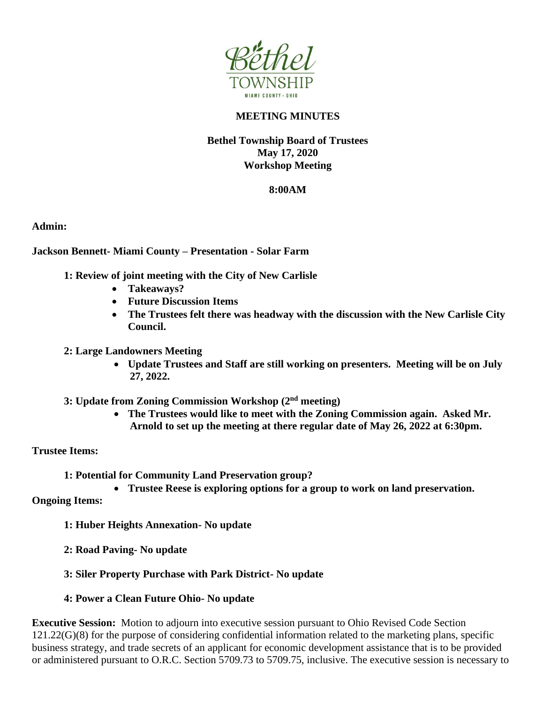

# **MEETING MINUTES**

# **Bethel Township Board of Trustees May 17, 2020 Workshop Meeting**

## **8:00AM**

**Admin:**

## **Jackson Bennett- Miami County – Presentation - Solar Farm**

- **1: Review of joint meeting with the City of New Carlisle**
	- **Takeaways?**
	- **Future Discussion Items**
	- **The Trustees felt there was headway with the discussion with the New Carlisle City Council.**
- **2: Large Landowners Meeting**
	- **Update Trustees and Staff are still working on presenters. Meeting will be on July 27, 2022.**
- **3: Update from Zoning Commission Workshop (2nd meeting)**
	- **The Trustees would like to meet with the Zoning Commission again. Asked Mr. Arnold to set up the meeting at there regular date of May 26, 2022 at 6:30pm.**

### **Trustee Items:**

- **1: Potential for Community Land Preservation group?**
	- **Trustee Reese is exploring options for a group to work on land preservation.**

**Ongoing Items:**

- **1: Huber Heights Annexation- No update**
- **2: Road Paving- No update**
- **3: Siler Property Purchase with Park District- No update**
- **4: Power a Clean Future Ohio- No update**

**Executive Session:** Motion to adjourn into executive session pursuant to Ohio Revised Code Section 121.22(G)(8) for the purpose of considering confidential information related to the marketing plans, specific business strategy, and trade secrets of an applicant for economic development assistance that is to be provided or administered pursuant to O.R.C. Section 5709.73 to 5709.75, inclusive. The executive session is necessary to